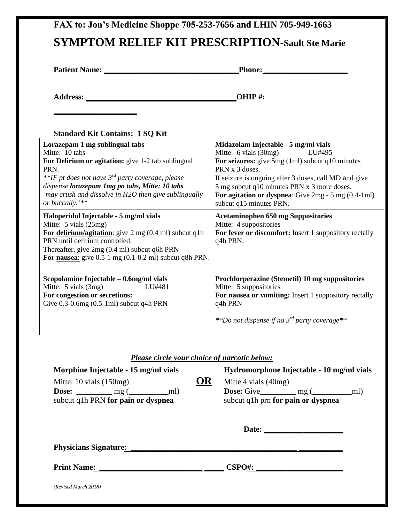|                                                                                                                                                                                                                                                                                                               | <b>Phone:</b> ________                                                                                                                                                                                                                                                                                                                   |
|---------------------------------------------------------------------------------------------------------------------------------------------------------------------------------------------------------------------------------------------------------------------------------------------------------------|------------------------------------------------------------------------------------------------------------------------------------------------------------------------------------------------------------------------------------------------------------------------------------------------------------------------------------------|
|                                                                                                                                                                                                                                                                                                               | OHIP#:                                                                                                                                                                                                                                                                                                                                   |
| <b>Standard Kit Contains: 1 SQ Kit</b>                                                                                                                                                                                                                                                                        |                                                                                                                                                                                                                                                                                                                                          |
| Lorazepam 1 mg sublingual tabs<br>Mitte: 10 tabs<br>For Delirium or agitation: give 1-2 tab sublingual<br>PRN.<br>**IF pt does not have 3 <sup>rd</sup> party coverage, please<br>dispense lorazepam 1mg po tabs, Mitte: 10 tabs<br>'may crush and dissolve in H2O then give sublingually<br>or buccally. '** | Midazolam Injectable - 5 mg/ml vials<br>Mitte: 6 vials $(30mg)$<br>LU#495<br>For seizures: give 5mg (1ml) subcut q10 minutes<br>PRN x 3 doses.<br>If seizure is ongoing after 3 doses, call MD and give<br>5 mg subcut q10 minutes PRN x 3 more doses.<br>For agitation or dyspnea: Give $2mg - 5mg(0.4-1ml)$<br>subcut q15 minutes PRN. |
| Haloperidol Injectable - 5 mg/ml vials<br>Mitte: 5 vials (25mg)<br>For delirium/agitation: give $2 \text{ mg } (0.4 \text{ ml})$ subcut q1h<br>PRN until delirium controlled.<br>Thereafter, give 2mg (0.4 ml) subcut q6h PRN<br>For nausea: give $0.5-1$ mg $(0.1-0.2$ ml) subcut q8h PRN.                   | <b>Acetaminophen 650 mg Suppositories</b><br>Mitte: 4 suppositories<br>For fever or discomfort: Insert 1 suppository rectally<br>q4h PRN.                                                                                                                                                                                                |
| Scopolamine Injectable - 0.6mg/ml vials<br>LU#481                                                                                                                                                                                                                                                             | Prochlorperazine (Stemetil) 10 mg suppositories<br>Mitte: 5 suppositories<br>For nausea or vomiting: Insert 1 suppository rectally<br>q4h PRN                                                                                                                                                                                            |
| Mitte: $5 \text{ vials} (3mg)$<br>For congestion or secretions:<br>Give $0.3$ - $0.6$ mg $(0.5-1$ ml) subcut q4h PRN<br><b>Please circle your choice of narcotic below:</b><br>Morphine Injectable - 15 mg/ml vials                                                                                           | **Do not dispense if no $3^{rd}$ party coverage**<br>Hydromorphone Injectable - 10 mg/ml vials                                                                                                                                                                                                                                           |
| OR<br>Mitte: 10 vials (150mg)<br>$Dose:$ mg ( $\qquad \qquad$ ml)<br>subcut q1h PRN for pain or dyspnea                                                                                                                                                                                                       | Mitte 4 vials (40mg)<br>subcut q1h prn for pain or dyspnea                                                                                                                                                                                                                                                                               |
|                                                                                                                                                                                                                                                                                                               |                                                                                                                                                                                                                                                                                                                                          |
|                                                                                                                                                                                                                                                                                                               |                                                                                                                                                                                                                                                                                                                                          |
|                                                                                                                                                                                                                                                                                                               | Print Name: CSPO#:                                                                                                                                                                                                                                                                                                                       |